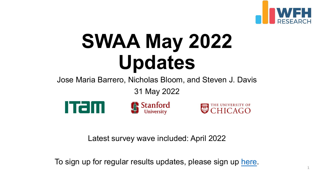# **SWAA May 2 Updates**

Jose Maria Barrero, Nicholas Bloom, and

31 May 2022



Latest survey wave included: Ap

To sign up for regular results updates, please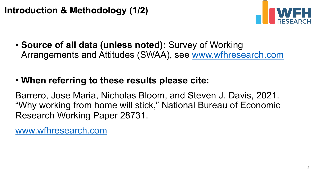## **Introduction & Methodology (1/2)**

• **[Source of all data \(u](http://www.wfhresearch.com/)nless noted):** Survey Arrangements and Attitudes (SWAA), see w

### • When referring to these results please cit

Barrero, Jose Maria, Nicholas Bloom, and Ste "Why working from home will stick," National E Research Working Paper 28731.

www.wfhresearch.com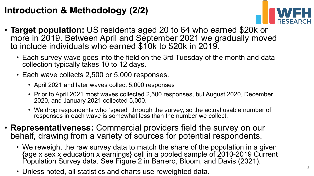### **Introduction & Methodology (2/2)**



- **Target population:** US residents aged 20 to 64 who earned \$20k or more in 2019. Between April and September 2021 we gradually moved to include individuals who earned \$10k to \$20k in 2019.
	- Each survey wave goes into the field on the 3rd Tuesday of the month and data collection typically takes 10 to 12 days.
	- Each wave collects 2,500 or 5,000 responses.
		- April 2021 and later waves collect 5,000 responses
		- Prior to April 2021 most waves collected 2,500 responses, but August 2020, December 2020, and January 2021 collected 5,000.
		- We drop respondents who "speed" through the survey, so the actual usable number of responses in each wave is somewhat less than the number we collect.
- **Representativeness:** Commercial providers field the survey on our behalf, drawing from a variety of sources for potential respondents.
	- We reweight the raw survey data to match the share of the population in a given {age x sex x education x earnings} cell in a pooled sample of 2010-2019 Current Population Survey data. See Figure 2 in Barrero, Bloom, and Davis (2021).
	- Unless noted, all statistics and charts use reweighted data.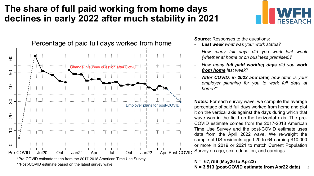### **The share of full paid working from home days declines in early 2022 after much stability in 2021**



\*\*Post-COVID estimate based on the latest survey wave

**Source:** Responses to the questions:

- *Last week what was your work status?*
- *How many full days did you work last week (whether at home or on business premises)?*
- *How many full paid working days did you work from home last week*?
- *After COVID, in 2022 and later, how often is your employer planning for you to work full days at home?"*

**Notes:** For each survey wave, we compute the average percentage of paid full days worked from home and plot it on the vertical axis against the days during which that wave was in the field on the horizontal axis. The pre-COVID estimate comes from the 2017-2018 American Time Use Survey and the post-COVID estimate uses data from the April 2022 wave. We re-weight the sample of US residents aged 20 to 64 earning \$10,000 or more in 2019 or 2021 to match Current Population Survey on age, sex, education, and earnings.

**N = 67,756 (May20 to Apr22)**

**N = 3,513 (post-COVID estimate from Apr22 data)** 4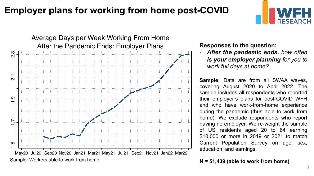### **Employer plans for working from home post-COVID**



### After the Pandemic Ends: Employer Plans Average Days per Week Working From Home



**Responses to the question:**

- *After the pandemic ends, how often is your employer planning for you to work full days at home?*

**Sample:** Data are from all SWAA waves, covering August 2020 to April 2022. The sample includes all respondents who reported their employer's plans for post-COVID WFH and who have work-from-home experience during the pandemic (thus able to work from home). We exclude respondents who report having no employer. We re-weight the sample of US residents aged 20 to 64 earning \$10,000 or more in 2019 or 2021 to match Current Population Survey on age, sex, education, and earnings.

**N = 51,439 (able to work from home)**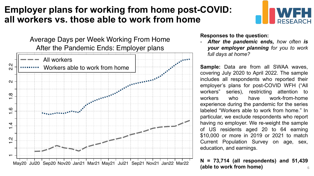### **Employer plans for working from home post-COVID: all workers vs. those able to work from home**

After the Pandemic Ends: Employer plans Average Days per Week Working From Home



**Responses to the question:**

- *After the pandemic ends, how often is your employer planning for you to work full days at home?*

**Sample:** Data are from all SWAA waves, covering July 2020 to April 2022. The sample includes all respondents who reported their employer's plans for post-COVID WFH ("All workers" series), restricting attention to workers who have work-from-home experience during the pandemic for the series labeled "Workers able to work from home." In particular, we exclude respondents who report having no employer. We re-weight the sample of US residents aged 20 to 64 earning \$10,000 or more in 2019 or 2021 to match Current Population Survey on age, sex, education, and earnings.

**N = 73,714 (all respondents) and 51,439 (able to work from home)** 6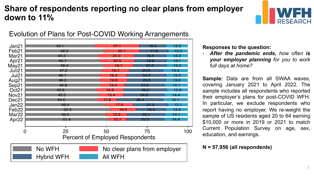### **Share of respondents reporting no clear plans from employer down to 11%**



### Evolution of Plans for Post-COVID Working Arrangements

| Jan21             | 43.1              |                                        |                              | 27.            |      | 16.5 | 13.3 |     |
|-------------------|-------------------|----------------------------------------|------------------------------|----------------|------|------|------|-----|
| Feb <sub>21</sub> | 48.3              |                                        |                              | 22.1           |      | 17 6 | 12.0 |     |
| Mar <sub>21</sub> | 45.2              |                                        |                              | 22.0           |      | 19.5 | 13.3 |     |
| Apr21             | 46.1              |                                        |                              | 20.9           |      | 19.9 | 13.1 |     |
| May21             | 48.4              |                                        |                              | 18.1           |      | 20.3 | 13.2 |     |
| Jun21             | 47.2              |                                        |                              | 16.7           | 20.9 |      | 15.2 |     |
| <b>Jul21</b>      | 46.1              |                                        |                              | 16.4           | 24.2 |      | 13.3 |     |
| Aug21             | 46.2              |                                        |                              | 16.6           | 23.6 |      | 13.6 |     |
| Sep21             | 46.8              |                                        |                              | 14.4           | 24.6 |      | 14.1 |     |
| Oct21             | 43.8              |                                        |                              | 16.8           | 26.5 |      | 12.9 |     |
| Nov21             | 45.3              |                                        |                              | 15.4           | 24.9 |      | 14.4 |     |
| Dec <sub>21</sub> | 44.6              |                                        |                              | Я              | 28.4 |      | 15.1 |     |
| Jan22             | 49.4              |                                        |                              | 17 N           |      | 21.5 | 12.1 |     |
| Feb <sub>22</sub> |                   | 52.3                                   |                              | 6              |      | 18.2 | 13.5 |     |
| Mar <sub>22</sub> | 49.5              |                                        |                              | 13.3           | 23.  |      | 14.1 |     |
| Apr22             |                   | 51.4                                   |                              | 10             | 23.5 |      | 14.4 |     |
| $\bf{0}$          |                   | 25                                     | 50                           |                | 75   |      |      | 100 |
|                   |                   | <b>Percent of Employed Respondents</b> |                              |                |      |      |      |     |
|                   | No WFH            |                                        | No clear plans from employer |                |      |      |      |     |
|                   |                   |                                        |                              |                |      |      |      |     |
|                   | <b>Hybrid WFH</b> |                                        |                              | <b>AII WFH</b> |      |      |      |     |

**Responses to the question:**

- *After the pandemic ends, how often is your employer planning for you to work full days at home?*

**Sample:** Data are from all SWAA waves, covering January 2021 to April 2022. The sample includes all respondents who reported their employer's plans for post-COVID WFH. In particular, we exclude respondents who report having no employer. We re-weight the sample of US residents aged 20 to 64 earning \$10,000 or more in 2019 or 2021 to match Current Population Survey on age, sex, education, and earnings.

#### **N = 57,956 (all respondents)**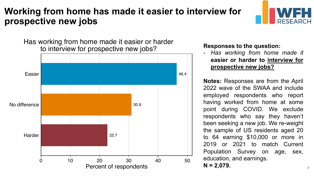### **Working from home has made it easier to interview for prospective new jobs**



Has working from home made it easier or harder to interview for prospective new jobs? **Responses to the question:**



- *Has working from home made it* **easier or harder to interview for prospective new jobs?**

**Notes:** Responses are from the April 2022 wave of the SWAA and include employed respondents who report having worked from home at some point during COVID. We exclude respondents who say they haven't been seeking a new job. We re-weight the sample of US residents aged 20 to 64 earning \$10,000 or more in 2019 or 2021 to match Current Population Survey on age, sex, education, and earnings.

 $N = 2,079.$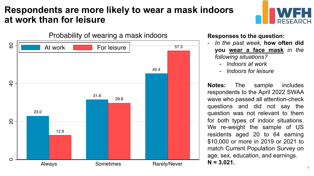### **Respondents are more likely to wear a mask indoors at work than for leisure**





#### **Responses to the question:**

- *In the past week,* **how often did you wear a face mask** *in the following situations?*
	- *Indoors at work*
	- *Indoors for leisure*

**Notes:** The sample includes respondents to the April 2022 SWAA wave who passed all attention-check questions and did not say the question was not relevant to them for both types of indoor situations. We re-weight the sample of US residents aged 20 to 64 earning \$10,000 or more in 2019 or 2021 to match Current Population Survey on age, sex, education, and earnings. **N = 3,021.**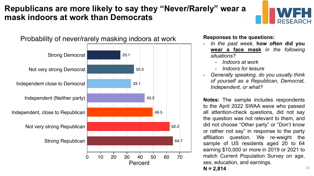### **Republicans are more likely to say they "Never/Rarely" wear a mask indoors at work than Democrats**





- *In the past week,* **how often did you wear a face mask** *in the following situations?*
	- *Indoors at work*
	- *Indoors for leisure*
- *Generally speaking, do you usually think of yourself as a Republican, Democrat, Independent, or what?*

**Notes:** The sample includes respondents to the April 2022 SWAA wave who passed all attention-check questions, did not say the question was not relevant to them, and did not choose "Other party" or "Don't know or rather not say" in response to the party affiliation question. We re-weight the sample of US residents aged 20 to 64 earning \$10,000 or more in 2019 or 2021 to match Current Population Survey on age, sex, education, and earnings.

 $N = 2.814$  10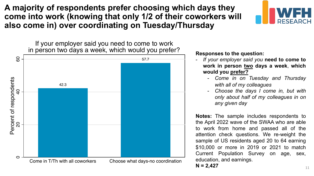**A majority of respondents prefer choosing which days they come into work (knowing that only 1/2 of their coworkers will also come in) over coordinating on Tuesday/Thursday** 



If your employer said you need to come to work in person two days a week, which would you prefer?<br>**Responses to the question:** 



- *If your employer said you* **need to come to work in person two days a week**, **which would you prefer?**
	- *Come in on Tuesday and Thursday with all of my colleagues*
	- *Choose the days I come in, but with only about half of my colleagues in on any given day*

**Notes:** The sample includes respondents to the April 2022 wave of the SWAA who are able to work from home and passed all of the attention check questions. We re-weight the sample of US residents aged 20 to 64 earning \$10,000 or more in 2019 or 2021 to match Current Population Survey on age, sex, education, and earnings.

 $N = 2,427$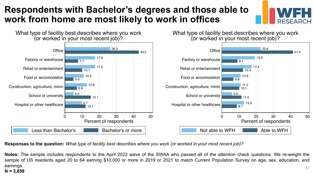### **Respondents with Bachelor's degrees and those able to work from home are most likely to work in offices**



Responses to the question: What type of facility best describes where you work (or worked in your most recent job)?

**Notes:** The sample includes respondents to the April 2022 wave of the SWAA who passed all of the attention check questions. We re-weight the sample of US residents aged 20 to 64 earning \$10,000 or more in 2019 or 2021 to match Current Population Survey on age, sex, education, and earnings. 12

#### **N = 3,858**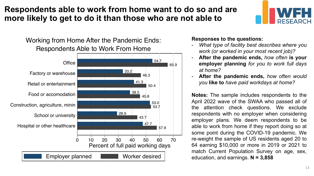### **Respondents able to work from home want to do so and are more likely to get to do it than those who are not able to**

Respondents Able to Work From Home Working from Home After the Pandemic Ends:



#### **Responses to the questions:**

- *What type of facility best describes where you work (or worked in your most recent job)?*
- **After the pandemic ends,** *how often* **is your employer planning** *for you to work full days at home?*
- **After the pandemic ends,** *how often would you* **like to** *have paid workdays at home?*

**Notes:** The sample includes respondents to the April 2022 wave of the SWAA who passed all of the attention check questions. We exclude respondents with no employer when considering employer plans. We deem respondents to be able to work from home if they report doing so at some point during the COVID-19 pandemic. We re-weight the sample of US residents aged 20 to 64 earning \$10,000 or more in 2019 or 2021 to match Current Population Survey on age, sex, education, and earnings. **N = 3,858**

DESEADCH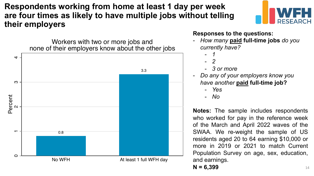**Respondents working from home at least 1 day per week are four times as likely to have multiple jobs without telling their employers**

> Workers with two or more jobs and none of their employers know about the other jobs



#### **Responses to the questions:**

- *How many* **paid full-time jobs** *do you currently have?*
	- *1*
	- *2*
	- *3 or more*
- *Do any of your employers know you have another* **paid full-time job?**
	- *Yes*
	- *No*

**Notes:** The sample includes respondents who worked for pay in the reference week of the March and April 2022 waves of the SWAA. We re-weight the sample of US residents aged 20 to 64 earning \$10,000 or more in 2019 or 2021 to match Current Population Survey on age, sex, education, and earnings.

**N = 6,399**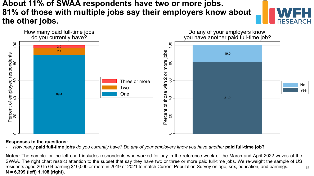### **About 11% of SWAA respondents have two or more jobs. 81% of those with multiple jobs say their employers know about the other jobs.**





#### **Responses to the questions:**

- *How many* **paid full-time jobs** *do you currently have? Do any of your employers know you have another* **paid full-time job?**

15 **Notes:** The sample for the left chart includes respondents who worked for pay in the reference week of the March and April 2022 waves of the SWAA. The right chart restrict attention to the subset that say they have two or three or more paid full-time jobs. We re-weight the sample of US residents aged 20 to 64 earning \$10,000 or more in 2019 or 2021 to match Current Population Survey on age, sex, education, and earnings. **N = 6,399 (left) 1,108 (right).**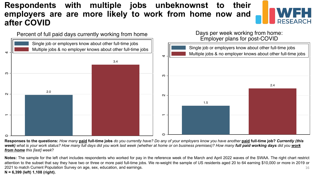### **Respondents with multiple jobs unbeknownst to their employers are are more likely to work from home now and after COVID**





**Responses to the questions:** *How many* **paid full-time jobs** *do you currently have? Do any of your employers know you have another* **paid full-time job?** *Currently (this week) what is your work status? How many full days did you work last week (whether at home or on business premises)? How many full paid working days did you work from home this [last] week*?

16 **Notes:** The sample for the left chart includes respondents who worked for pay in the reference week of the March and April 2022 waves of the SWAA. The right chart restrict attention to the subset that say they have two or three or more paid full-time jobs. We re-weight the sample of US residents aged 20 to 64 earning \$10,000 or more in 2019 or 2021 to match Current Population Survey on age, sex, education, and earnings. **N = 6,399 (left) 1,108 (right).**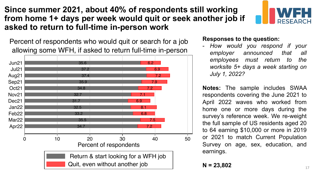**Since summer 2021, about 40% of respondents still working from home 1+ days per week would quit or seek another job if asked to return to full-time in-person work**

 allowing some WFH, if asked to return full-time in-person Percent of respondents who would quit or search for a job



#### **Responses to the question:**

- *How would you respond if your employer announced that all employees must return to the worksite 5+ days a week starting on July 1, 2022?*

**Notes:** The sample includes SWAA respondents covering the June 2021 to April 2022 waves who worked from home one or more days during the survey's reference week. We re-weight the full sample of US residents aged 20 to 64 earning \$10,000 or more in 2019 or 2021 to match Current Population Survey on age, sex, education, and earnings.

**N = 23,802**

**RESEARCH**